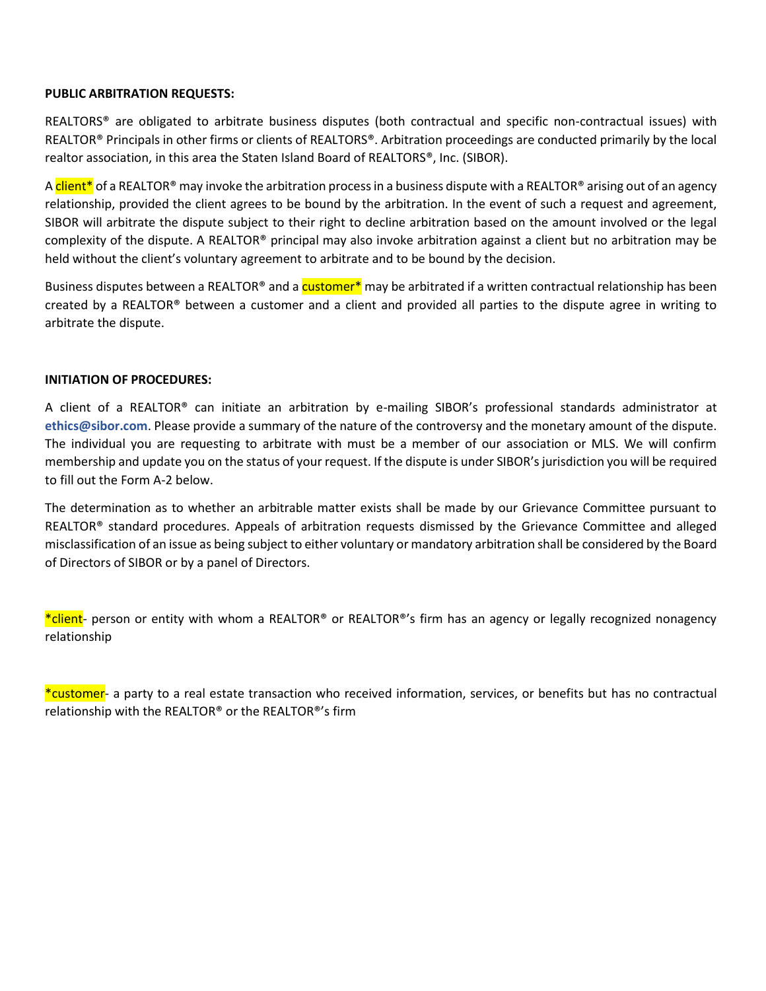# **PUBLIC ARBITRATION REQUESTS:**

REALTORS® are obligated to arbitrate business disputes (both contractual and specific non-contractual issues) with REALTOR® Principals in other firms or clients of REALTORS®. Arbitration proceedings are conducted primarily by the local realtor association, in this area the Staten Island Board of REALTORS®, Inc. (SIBOR).

A client<sup>\*</sup> of a REALTOR® may invoke the arbitration process in a business dispute with a REALTOR® arising out of an agency relationship, provided the client agrees to be bound by the arbitration. In the event of such a request and agreement, SIBOR will arbitrate the dispute subject to their right to decline arbitration based on the amount involved or the legal complexity of the dispute. A REALTOR<sup>®</sup> principal may also invoke arbitration against a client but no arbitration may be held without the client's voluntary agreement to arbitrate and to be bound by the decision.

Business disputes between a REALTOR<sup>®</sup> and a customer<sup>\*</sup> may be arbitrated if a written contractual relationship has been created by a REALTOR® between a customer and a client and provided all parties to the dispute agree in writing to arbitrate the dispute.

# **INITIATION OF PROCEDURES:**

A client of a REALTOR® can initiate an arbitration by e-mailing SIBOR's professional standards administrator at **ethics@sibor.com**. Please provide a summary of the nature of the controversy and the monetary amount of the dispute. The individual you are requesting to arbitrate with must be a member of our association or MLS. We will confirm membership and update you on the status of your request. If the dispute is under SIBOR's jurisdiction you will be required to fill out the Form A-2 below.

The determination as to whether an arbitrable matter exists shall be made by our Grievance Committee pursuant to REALTOR® standard procedures. Appeals of arbitration requests dismissed by the Grievance Committee and alleged misclassification of an issue as being subject to either voluntary or mandatory arbitration shall be considered by the Board of Directors of SIBOR or by a panel of Directors.

\*client- person or entity with whom a REALTOR® or REALTOR®'s firm has an agency or legally recognized nonagency relationship

\*customer- a party to a real estate transaction who received information, services, or benefits but has no contractual relationship with the REALTOR® or the REALTOR®'s firm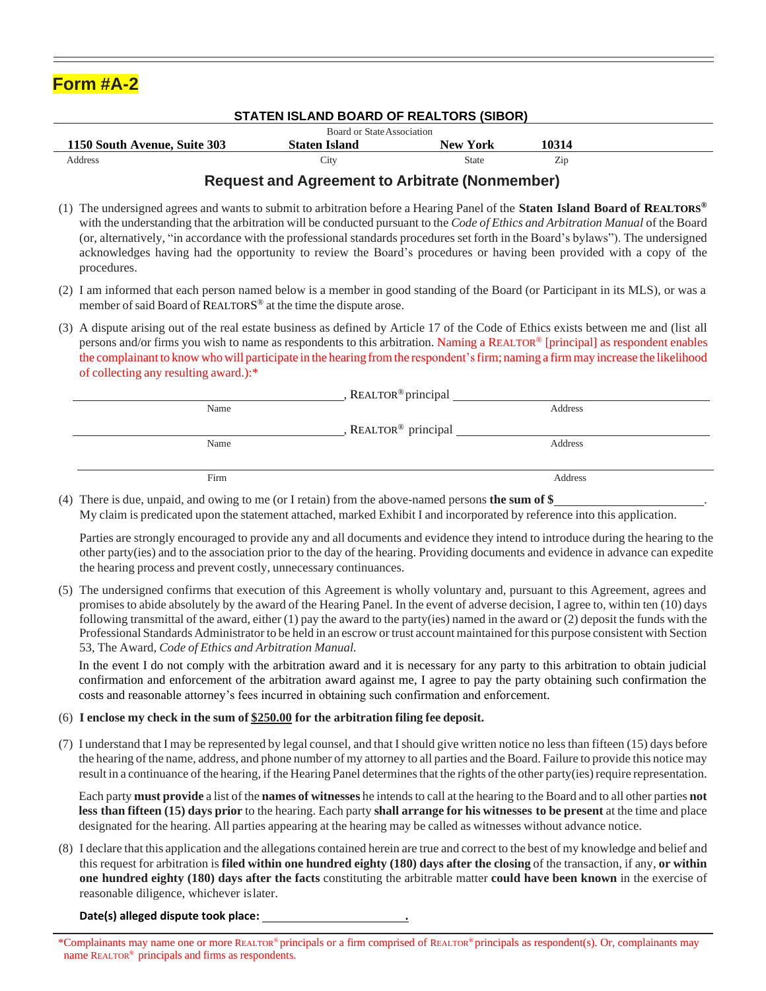| <b>Form #A-2</b> |
|------------------|
|------------------|

### **STATEN ISLAND BOARD OF REALTORS (SIBOR)**

| Board or State Association   |                   |                 |       |  |  |
|------------------------------|-------------------|-----------------|-------|--|--|
| 1150 South Avenue, Suite 303 | Staten Island     | <b>New York</b> | 10314 |  |  |
| Address                      | $\mathcal{L}$ ity | State           | Zip   |  |  |

# **Request and Agreement to Arbitrate (Nonmember)**

- (1) The undersigned agrees and wants to submit to arbitration before a Hearing Panel of the **Staten Island Board of REALTORS ®** with the understanding that the arbitration will be conducted pursuant to the *Code of Ethics and Arbitration Manual* of the Board (or, alternatively, "in accordance with the professional standards procedures set forth in the Board's bylaws"). The undersigned acknowledges having had the opportunity to review the Board's procedures or having been provided with a copy of the procedures.
- (2) I am informed that each person named below is a member in good standing of the Board (or Participant in its MLS), or was a member of said Board of REALTORS<sup>®</sup> at the time the dispute arose.
- (3) A dispute arising out of the real estate business as defined by Article 17 of the Code of Ethics exists between me and (list all persons and/or firms you wish to name as respondents to this arbitration. Naming a REALTOR® [principal] as respondent enables the complainant to know who will participate in the hearing from the respondent's firm; naming a firm may increase the likelihood of collecting any resulting award.):\*

|      | REALTOR <sup>®</sup> principal |         |
|------|--------------------------------|---------|
| Name |                                | Address |
|      | REALTOR <sup>®</sup> principal |         |
| Name |                                | Address |
|      |                                |         |
| Firm |                                | Address |

(4) There is due, unpaid, and owing to me (or I retain) from the above-named persons **the sum of \$** . My claim is predicated upon the statement attached, marked Exhibit I and incorporated by reference into this application.

Parties are strongly encouraged to provide any and all documents and evidence they intend to introduce during the hearing to the other party(ies) and to the association prior to the day of the hearing. Providing documents and evidence in advance can expedite the hearing process and prevent costly, unnecessary continuances.

(5) The undersigned confirms that execution of this Agreement is wholly voluntary and, pursuant to this Agreement, agrees and promises to abide absolutely by the award of the Hearing Panel. In the event of adverse decision, I agree to, within ten (10) days following transmittal of the award, either (1) pay the award to the party(ies) named in the award or (2) deposit the funds with the Professional Standards Administrator to be held in an escrow ortrust account maintained forthis purpose consistent with Section 53, The Award, *Code of Ethics and Arbitration Manual.* 

In the event I do not comply with the arbitration award and it is necessary for any party to this arbitration to obtain judicial confirmation and enforcement of the arbitration award against me, I agree to pay the party obtaining such confirmation the costs and reasonable attorney's fees incurred in obtaining such confirmation and enforcement.

## (6) **I enclose my check in the sum of \$250.00 for the arbitration filing fee deposit.**

(7) I understand that I may be represented by legal counsel, and that Ishould give written notice no lessthan fifteen (15) days before the hearing of the name, address, and phone number of my attorney to all parties and the Board. Failure to provide this notice may result in a continuance of the hearing, if the Hearing Panel determines that the rights of the other party(ies) require representation.

Each party **must provide** a list of the **names of witnesses** he intendsto call at the hearing to the Board and to all other parties **not less than fifteen (15) days prior** to the hearing. Each party **shall arrange for his witnesses to be present** at the time and place designated for the hearing. All parties appearing at the hearing may be called as witnesses without advance notice.

(8) I declare that this application and the allegations contained herein are true and correct to the best of my knowledge and belief and this request for arbitration is **filed within one hundred eighty (180) days after the closing** of the transaction, if any, **or within one hundred eighty (180) days after the facts** constituting the arbitrable matter **could have been known** in the exercise of reasonable diligence, whichever islater.

#### **Date(s) alleged dispute took place: .**

<sup>\*</sup>Complainants may name one or more REALTOR® principals or a firm comprised of REALTOR® principals as respondent(s). Or, complainants may name REALTOR® principals and firms as respondents.